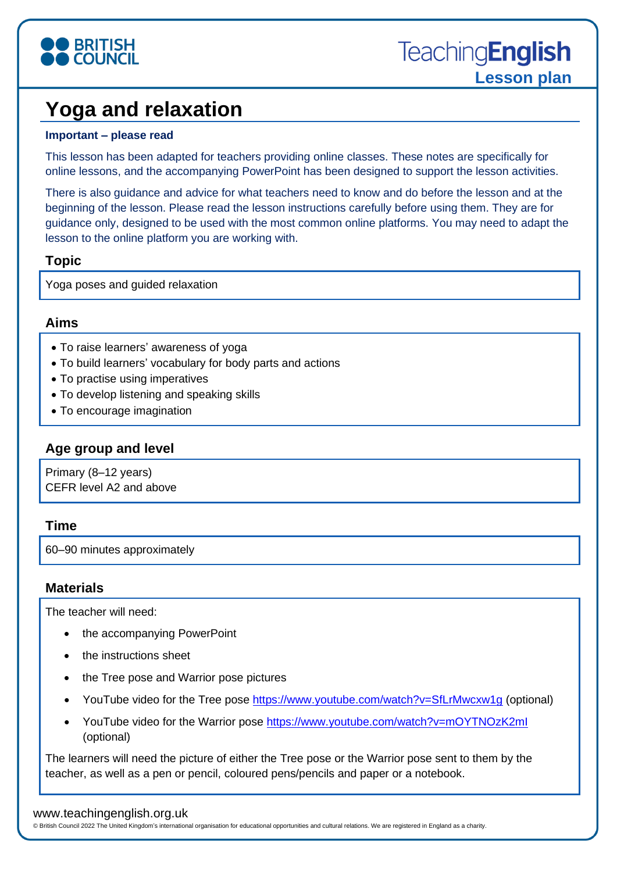

# **Yoga and relaxation**

#### **Important – please read**

This lesson has been adapted for teachers providing online classes. These notes are specifically for online lessons, and the accompanying PowerPoint has been designed to support the lesson activities.

There is also guidance and advice for what teachers need to know and do before the lesson and at the beginning of the lesson. Please read the lesson instructions carefully before using them. They are for guidance only, designed to be used with the most common online platforms. You may need to adapt the lesson to the online platform you are working with.

## **Topic**

Yoga poses and guided relaxation

## **Aims**

- To raise learners' awareness of yoga
- To build learners' vocabulary for body parts and actions
- To practise using imperatives
- To develop listening and speaking skills
- To encourage imagination

## **Age group and level**

Primary (8–12 years) CEFR level A2 and above

#### **Time**

60–90 minutes approximately

#### **Materials**

The teacher will need:

- the accompanying PowerPoint
- the instructions sheet
- the Tree pose and Warrior pose pictures
- YouTube video for the Tree pose<https://www.youtube.com/watch?v=SfLrMwcxw1g> (optional)
- YouTube video for the Warrior pose<https://www.youtube.com/watch?v=mOYTNOzK2mI> (optional)

The learners will need the picture of either the Tree pose or the Warrior pose sent to them by the teacher, as well as a pen or pencil, coloured pens/pencils and paper or a notebook.

#### www.teachingenglish.org.uk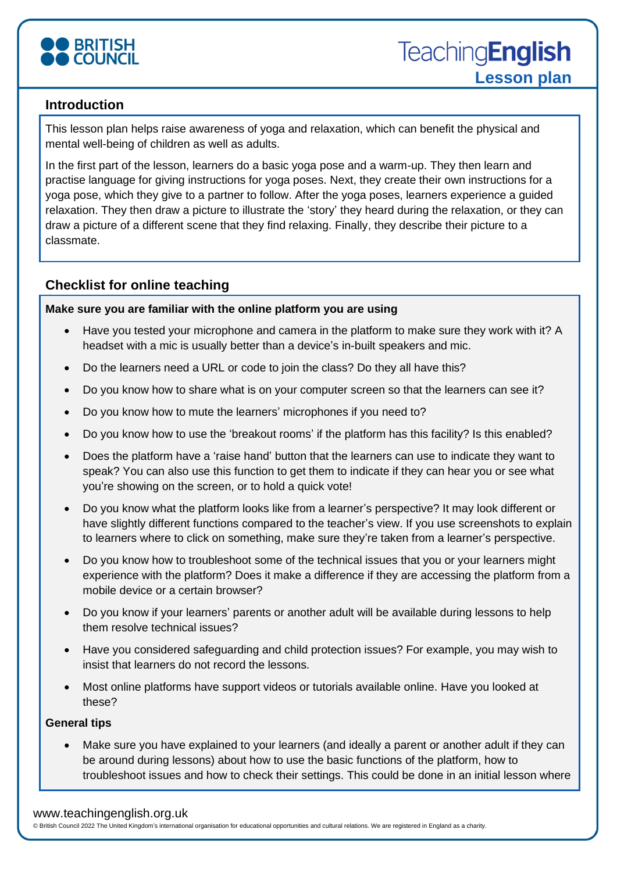

## **Introduction**

This lesson plan helps raise awareness of yoga and relaxation, which can benefit the physical and mental well-being of children as well as adults.

In the first part of the lesson, learners do a basic yoga pose and a warm-up. They then learn and practise language for giving instructions for yoga poses. Next, they create their own instructions for a yoga pose, which they give to a partner to follow. After the yoga poses, learners experience a guided relaxation. They then draw a picture to illustrate the 'story' they heard during the relaxation, or they can draw a picture of a different scene that they find relaxing. Finally, they describe their picture to a classmate.

## **Checklist for online teaching**

#### **Make sure you are familiar with the online platform you are using**

- Have you tested your microphone and camera in the platform to make sure they work with it? A headset with a mic is usually better than a device's in-built speakers and mic.
- Do the learners need a URL or code to join the class? Do they all have this?
- Do you know how to share what is on your computer screen so that the learners can see it?
- Do you know how to mute the learners' microphones if you need to?
- Do you know how to use the 'breakout rooms' if the platform has this facility? Is this enabled?
- Does the platform have a 'raise hand' button that the learners can use to indicate they want to speak? You can also use this function to get them to indicate if they can hear you or see what you're showing on the screen, or to hold a quick vote!
- Do you know what the platform looks like from a learner's perspective? It may look different or have slightly different functions compared to the teacher's view. If you use screenshots to explain to learners where to click on something, make sure they're taken from a learner's perspective.
- Do you know how to troubleshoot some of the technical issues that you or your learners might experience with the platform? Does it make a difference if they are accessing the platform from a mobile device or a certain browser?
- Do you know if your learners' parents or another adult will be available during lessons to help them resolve technical issues?
- Have you considered safeguarding and child protection issues? For example, you may wish to insist that learners do not record the lessons.
- Most online platforms have support videos or tutorials available online. Have you looked at these?

#### **General tips**

• Make sure you have explained to your learners (and ideally a parent or another adult if they can be around during lessons) about how to use the basic functions of the platform, how to troubleshoot issues and how to check their settings. This could be done in an initial lesson where

#### www.teachingenglish.org.uk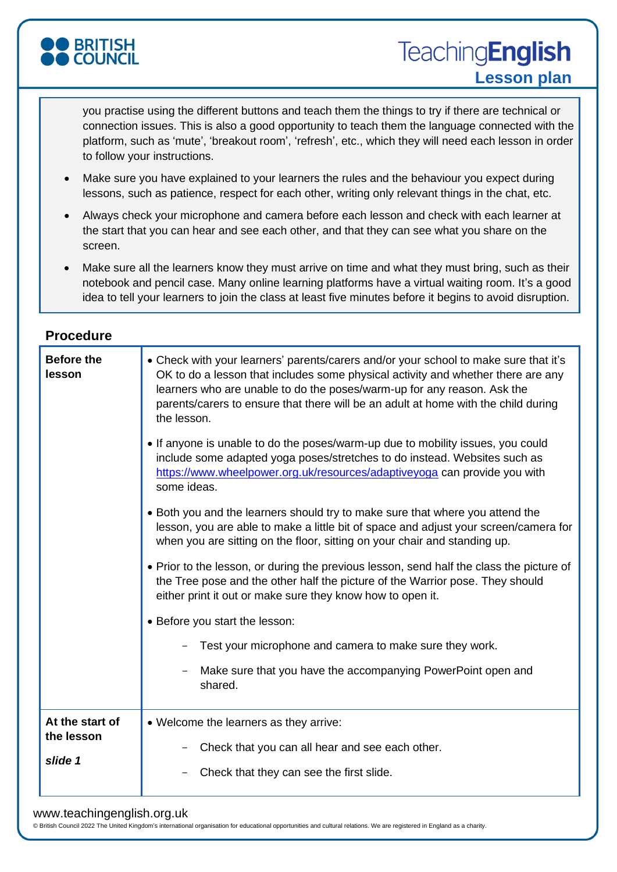

**TeachingEnglish Lesson plan**

you practise using the different buttons and teach them the things to try if there are technical or connection issues. This is also a good opportunity to teach them the language connected with the platform, such as 'mute', 'breakout room', 'refresh', etc., which they will need each lesson in order to follow your instructions.

- Make sure you have explained to your learners the rules and the behaviour you expect during lessons, such as patience, respect for each other, writing only relevant things in the chat, etc.
- Always check your microphone and camera before each lesson and check with each learner at the start that you can hear and see each other, and that they can see what you share on the screen.
- Make sure all the learners know they must arrive on time and what they must bring, such as their notebook and pencil case. Many online learning platforms have a virtual waiting room. It's a good idea to tell your learners to join the class at least five minutes before it begins to avoid disruption.

| <b>Before the</b><br>lesson              | • Check with your learners' parents/carers and/or your school to make sure that it's<br>OK to do a lesson that includes some physical activity and whether there are any<br>learners who are unable to do the poses/warm-up for any reason. Ask the<br>parents/carers to ensure that there will be an adult at home with the child during<br>the lesson.<br>• If anyone is unable to do the poses/warm-up due to mobility issues, you could<br>include some adapted yoga poses/stretches to do instead. Websites such as<br>https://www.wheelpower.org.uk/resources/adaptiveyoga can provide you with<br>some ideas.<br>• Both you and the learners should try to make sure that where you attend the<br>lesson, you are able to make a little bit of space and adjust your screen/camera for<br>when you are sitting on the floor, sitting on your chair and standing up.<br>• Prior to the lesson, or during the previous lesson, send half the class the picture of<br>the Tree pose and the other half the picture of the Warrior pose. They should<br>either print it out or make sure they know how to open it.<br>• Before you start the lesson:<br>Test your microphone and camera to make sure they work.<br>Make sure that you have the accompanying PowerPoint open and<br>shared. |
|------------------------------------------|-----------------------------------------------------------------------------------------------------------------------------------------------------------------------------------------------------------------------------------------------------------------------------------------------------------------------------------------------------------------------------------------------------------------------------------------------------------------------------------------------------------------------------------------------------------------------------------------------------------------------------------------------------------------------------------------------------------------------------------------------------------------------------------------------------------------------------------------------------------------------------------------------------------------------------------------------------------------------------------------------------------------------------------------------------------------------------------------------------------------------------------------------------------------------------------------------------------------------------------------------------------------------------------------------|
| At the start of<br>the lesson<br>slide 1 | • Welcome the learners as they arrive:<br>Check that you can all hear and see each other.<br>Check that they can see the first slide.                                                                                                                                                                                                                                                                                                                                                                                                                                                                                                                                                                                                                                                                                                                                                                                                                                                                                                                                                                                                                                                                                                                                                         |

#### www.teachingenglish.org.uk

© British Council 2022 The United Kingdom's international organisation for educational opportunities and cultural relations. We are registered in England as a charity.

#### **Procedure**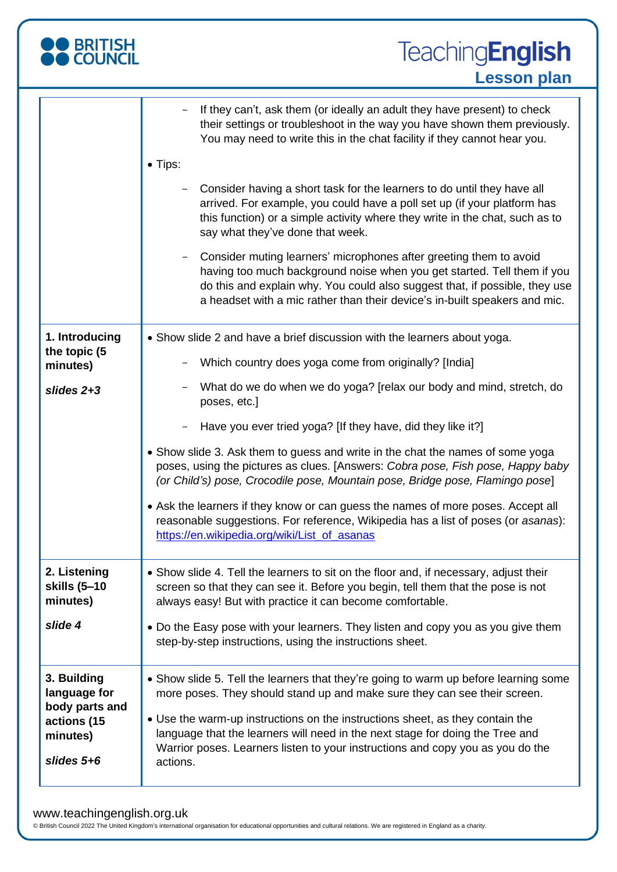| <b>BRITISH</b><br>COUNCIL                                                                | <b>TeachingEnglish</b><br><b>Lesson plan</b>                                                                                                                                                                                                                                                                                                                                                                                                                                                                                                                                                                                       |
|------------------------------------------------------------------------------------------|------------------------------------------------------------------------------------------------------------------------------------------------------------------------------------------------------------------------------------------------------------------------------------------------------------------------------------------------------------------------------------------------------------------------------------------------------------------------------------------------------------------------------------------------------------------------------------------------------------------------------------|
|                                                                                          | If they can't, ask them (or ideally an adult they have present) to check<br>their settings or troubleshoot in the way you have shown them previously.<br>You may need to write this in the chat facility if they cannot hear you.                                                                                                                                                                                                                                                                                                                                                                                                  |
|                                                                                          | • Tips:<br>Consider having a short task for the learners to do until they have all<br>arrived. For example, you could have a poll set up (if your platform has<br>this function) or a simple activity where they write in the chat, such as to<br>say what they've done that week.<br>Consider muting learners' microphones after greeting them to avoid<br>having too much background noise when you get started. Tell them if you<br>do this and explain why. You could also suggest that, if possible, they use<br>a headset with a mic rather than their device's in-built speakers and mic.                                   |
| 1. Introducing<br>the topic (5<br>minutes)                                               | • Show slide 2 and have a brief discussion with the learners about yoga.<br>Which country does yoga come from originally? [India]                                                                                                                                                                                                                                                                                                                                                                                                                                                                                                  |
| slides $2+3$                                                                             | What do we do when we do yoga? [relax our body and mind, stretch, do<br>poses, etc.]<br>Have you ever tried yoga? [If they have, did they like it?]<br>• Show slide 3. Ask them to guess and write in the chat the names of some yoga<br>poses, using the pictures as clues. [Answers: Cobra pose, Fish pose, Happy baby<br>(or Child's) pose, Crocodile pose, Mountain pose, Bridge pose, Flamingo pose]<br>• Ask the learners if they know or can guess the names of more poses. Accept all<br>reasonable suggestions. For reference, Wikipedia has a list of poses (or asanas):<br>https://en.wikipedia.org/wiki/List of asanas |
| 2. Listening<br>skills (5-10<br>minutes)                                                 | • Show slide 4. Tell the learners to sit on the floor and, if necessary, adjust their<br>screen so that they can see it. Before you begin, tell them that the pose is not<br>always easy! But with practice it can become comfortable.                                                                                                                                                                                                                                                                                                                                                                                             |
| slide 4                                                                                  | • Do the Easy pose with your learners. They listen and copy you as you give them<br>step-by-step instructions, using the instructions sheet.                                                                                                                                                                                                                                                                                                                                                                                                                                                                                       |
| 3. Building<br>language for<br>body parts and<br>actions (15<br>minutes)<br>slides $5+6$ | • Show slide 5. Tell the learners that they're going to warm up before learning some<br>more poses. They should stand up and make sure they can see their screen.<br>• Use the warm-up instructions on the instructions sheet, as they contain the<br>language that the learners will need in the next stage for doing the Tree and<br>Warrior poses. Learners listen to your instructions and copy you as you do the<br>actions.                                                                                                                                                                                                  |

#### www.teachingenglish.org.uk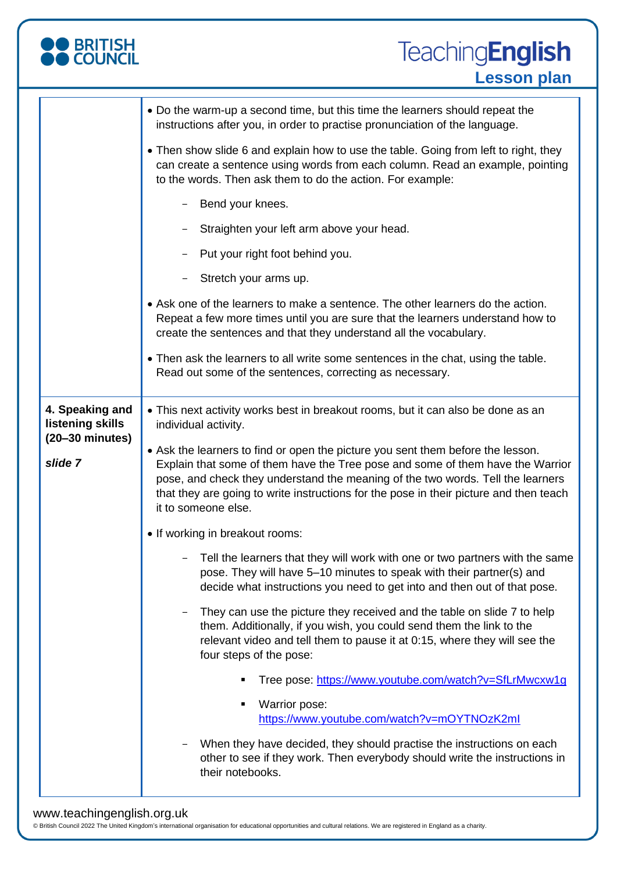

|                                                                  | • Do the warm-up a second time, but this time the learners should repeat the<br>instructions after you, in order to practise pronunciation of the language.                                                                                                                        |
|------------------------------------------------------------------|------------------------------------------------------------------------------------------------------------------------------------------------------------------------------------------------------------------------------------------------------------------------------------|
|                                                                  | • Then show slide 6 and explain how to use the table. Going from left to right, they<br>can create a sentence using words from each column. Read an example, pointing<br>to the words. Then ask them to do the action. For example:                                                |
|                                                                  | Bend your knees.<br>-                                                                                                                                                                                                                                                              |
|                                                                  | Straighten your left arm above your head.                                                                                                                                                                                                                                          |
|                                                                  | Put your right foot behind you.                                                                                                                                                                                                                                                    |
|                                                                  | Stretch your arms up.                                                                                                                                                                                                                                                              |
|                                                                  | • Ask one of the learners to make a sentence. The other learners do the action.<br>Repeat a few more times until you are sure that the learners understand how to<br>create the sentences and that they understand all the vocabulary.                                             |
|                                                                  | • Then ask the learners to all write some sentences in the chat, using the table.<br>Read out some of the sentences, correcting as necessary.                                                                                                                                      |
| 4. Speaking and<br>listening skills<br>$(20-30 \text{ minutes})$ | • This next activity works best in breakout rooms, but it can also be done as an<br>individual activity.<br>• Ask the learners to find or open the picture you sent them before the lesson.                                                                                        |
| slide 7                                                          | Explain that some of them have the Tree pose and some of them have the Warrior<br>pose, and check they understand the meaning of the two words. Tell the learners<br>that they are going to write instructions for the pose in their picture and then teach<br>it to someone else. |
|                                                                  | • If working in breakout rooms:                                                                                                                                                                                                                                                    |
|                                                                  | - Tell the learners that they will work with one or two partners with the same<br>pose. They will have 5-10 minutes to speak with their partner(s) and<br>decide what instructions you need to get into and then out of that pose.                                                 |
|                                                                  | They can use the picture they received and the table on slide 7 to help<br>them. Additionally, if you wish, you could send them the link to the<br>relevant video and tell them to pause it at 0:15, where they will see the<br>four steps of the pose:                            |
|                                                                  | Tree pose: https://www.youtube.com/watch?v=SfLrMwcxw1g<br>٠                                                                                                                                                                                                                        |
|                                                                  | Warrior pose:<br>٠<br>https://www.youtube.com/watch?v=mOYTNOzK2ml                                                                                                                                                                                                                  |
|                                                                  | When they have decided, they should practise the instructions on each<br>other to see if they work. Then everybody should write the instructions in<br>their notebooks.                                                                                                            |

## www.teachingenglish.org.uk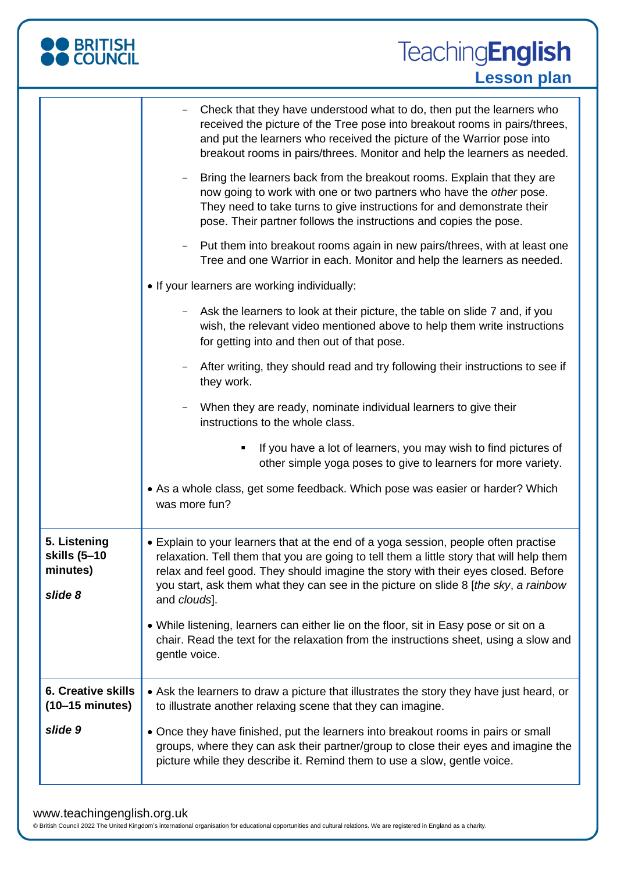| <b>BRITISH</b><br>COUNCIL                              | <b>TeachingEnglish</b><br><b>Lesson plan</b>                                                                                                                                                                                                                                                                                                                                                                                                                                                                                                                                                                                                                                                                                                                                                                                                                                                                                                                                                                                                                                                                                                                                                                                                                                                                                                                          |
|--------------------------------------------------------|-----------------------------------------------------------------------------------------------------------------------------------------------------------------------------------------------------------------------------------------------------------------------------------------------------------------------------------------------------------------------------------------------------------------------------------------------------------------------------------------------------------------------------------------------------------------------------------------------------------------------------------------------------------------------------------------------------------------------------------------------------------------------------------------------------------------------------------------------------------------------------------------------------------------------------------------------------------------------------------------------------------------------------------------------------------------------------------------------------------------------------------------------------------------------------------------------------------------------------------------------------------------------------------------------------------------------------------------------------------------------|
|                                                        | Check that they have understood what to do, then put the learners who<br>received the picture of the Tree pose into breakout rooms in pairs/threes,<br>and put the learners who received the picture of the Warrior pose into<br>breakout rooms in pairs/threes. Monitor and help the learners as needed.<br>Bring the learners back from the breakout rooms. Explain that they are<br>now going to work with one or two partners who have the other pose.<br>They need to take turns to give instructions for and demonstrate their<br>pose. Their partner follows the instructions and copies the pose.<br>Put them into breakout rooms again in new pairs/threes, with at least one<br>Tree and one Warrior in each. Monitor and help the learners as needed.<br>. If your learners are working individually:<br>Ask the learners to look at their picture, the table on slide 7 and, if you<br>wish, the relevant video mentioned above to help them write instructions<br>for getting into and then out of that pose.<br>After writing, they should read and try following their instructions to see if<br>they work.<br>When they are ready, nominate individual learners to give their<br>instructions to the whole class.<br>If you have a lot of learners, you may wish to find pictures of<br>other simple yoga poses to give to learners for more variety. |
|                                                        | • As a whole class, get some feedback. Which pose was easier or harder? Which<br>was more fun?                                                                                                                                                                                                                                                                                                                                                                                                                                                                                                                                                                                                                                                                                                                                                                                                                                                                                                                                                                                                                                                                                                                                                                                                                                                                        |
| 5. Listening<br>skills (5-10<br>minutes)<br>slide 8    | • Explain to your learners that at the end of a yoga session, people often practise<br>relaxation. Tell them that you are going to tell them a little story that will help them<br>relax and feel good. They should imagine the story with their eyes closed. Before<br>you start, ask them what they can see in the picture on slide 8 [the sky, a rainbow<br>and clouds].<br>• While listening, learners can either lie on the floor, sit in Easy pose or sit on a<br>chair. Read the text for the relaxation from the instructions sheet, using a slow and<br>gentle voice.                                                                                                                                                                                                                                                                                                                                                                                                                                                                                                                                                                                                                                                                                                                                                                                        |
| <b>6. Creative skills</b><br>$(10-15 \text{ minutes})$ | • Ask the learners to draw a picture that illustrates the story they have just heard, or<br>to illustrate another relaxing scene that they can imagine.                                                                                                                                                                                                                                                                                                                                                                                                                                                                                                                                                                                                                                                                                                                                                                                                                                                                                                                                                                                                                                                                                                                                                                                                               |
| slide 9                                                | • Once they have finished, put the learners into breakout rooms in pairs or small<br>groups, where they can ask their partner/group to close their eyes and imagine the<br>picture while they describe it. Remind them to use a slow, gentle voice.                                                                                                                                                                                                                                                                                                                                                                                                                                                                                                                                                                                                                                                                                                                                                                                                                                                                                                                                                                                                                                                                                                                   |

#### www.teachingenglish.org.uk